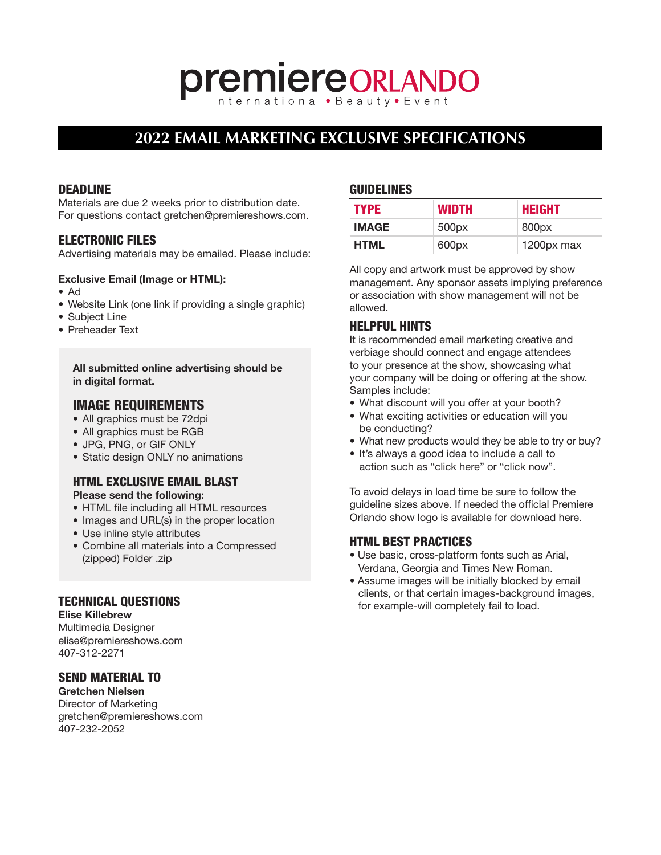# **premiereORLANDO**

# **2022 EMAIL MARKETING EXCLUSIVE SPECIFICATIONS**

# DEADLINE

Materials are due 2 weeks prior to distribution date. For questions contact gretchen@premiereshows.com.

# ELECTRONIC FILES

Advertising materials may be emailed. Please include:

#### Exclusive Email (Image or HTML):

- Ad
- Website Link (one link if providing a single graphic)
- Subject Line
- Preheader Text

All submitted online advertising should be in digital format.

# IMAGE REQUIREMENTS

- All graphics must be 72dpi
- All graphics must be RGB
- JPG, PNG, or GIF ONLY
- Static design ONLY no animations

# HTML EXCLUSIVE EMAIL BLAST

# Please send the following:

- HTML file including all HTML resources
- Images and URL(s) in the proper location
- Use inline style attributes
- Combine all materials into a Compressed (zipped) Folder .zip

# TECHNICAL QUESTIONS

Elise Killebrew Multimedia Designer

[elise@premiereshows.com](mailto:elise@premiereshows.com) 407-312-2271

# SEND MATERIAL TO

Gretchen Nielsen Director of Marketing gretchen@premiereshows.com 407-232-2052

#### GUIDELINES

| <b>TYPE</b>  | <b>WIDTH</b> | <b>HEIGHT</b>     |
|--------------|--------------|-------------------|
| <b>IMAGE</b> | 500px        | 800 <sub>px</sub> |
| <b>HTML</b>  | 600px        | 1200px max        |

All copy and artwork must be approved by show management. Any sponsor assets implying preference or association with show management will not be allowed.

# HELPFUL HINTS

It is recommended email marketing creative and verbiage should connect and engage attendees to your presence at the show, showcasing what your company will be doing or offering at the show. Samples include:

- What discount will you offer at your booth?
- What exciting activities or education will you be conducting?
- What new products would they be able to try or buy?
- It's always a good idea to include a call to action such as "click here" or "click now".

To avoid delays in load time be sure to follow the guideline sizes above. If needed the official Premiere Orlando show logo is available for download [here.](http://www.premiereorlandoshow.biz/shows/orl/show-logo.asp)

#### HTML BEST PRACTICES

- Use basic, cross-platform fonts such as Arial, Verdana, Georgia and Times New Roman.
- Assume images will be initially blocked by email clients, or that certain images-background images, for example-will completely fail to load.